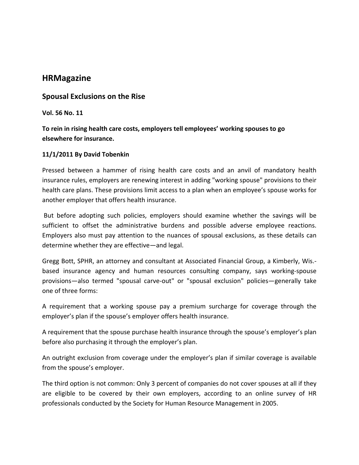# **HRMagazine**

## **Spousal Exclusions on the Rise**

**Vol. 56 No. 11**

**To rein in rising health care costs, employers tell employees' working spouses to go elsewhere for insurance.**

## **11/1/2011 By David Tobenkin**

Pressed between a hammer of rising health care costs and an anvil of mandatory health insurance rules, employers are renewing interest in adding "working spouse" provisions to their health care plans. These provisions limit access to a plan when an employee's spouse works for another employer that offers health insurance.

But before adopting such policies, employers should examine whether the savings will be sufficient to offset the administrative burdens and possible adverse employee reactions. Employers also must pay attention to the nuances of spousal exclusions, as these details can determine whether they are effective—and legal.

Gregg Bott, SPHR, an attorney and consultant at Associated Financial Group, a Kimberly, Wis.‐ based insurance agency and human resources consulting company, says working‐spouse provisions—also termed "spousal carve‐out" or "spousal exclusion" policies—generally take one of three forms:

A requirement that a working spouse pay a premium surcharge for coverage through the employer's plan if the spouse's employer offers health insurance.

A requirement that the spouse purchase health insurance through the spouse's employer's plan before also purchasing it through the employer's plan.

An outright exclusion from coverage under the employer's plan if similar coverage is available from the spouse's employer.

The third option is not common: Only 3 percent of companies do not cover spouses at all if they are eligible to be covered by their own employers, according to an online survey of HR professionals conducted by the Society for Human Resource Management in 2005.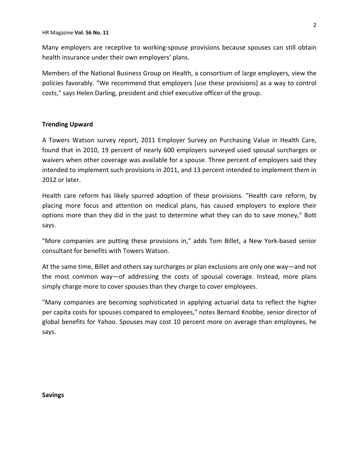Many employers are receptive to working‐spouse provisions because spouses can still obtain health insurance under their own employers' plans.

Members of the National Business Group on Health, a consortium of large employers, view the policies favorably. "We recommend that employers [use these provisions] as a way to control costs," says Helen Darling, president and chief executive officer of the group.

## **Trending Upward**

A Towers Watson survey report, 2011 Employer Survey on Purchasing Value in Health Care, found that in 2010, 19 percent of nearly 600 employers surveyed used spousal surcharges or waivers when other coverage was available for a spouse. Three percent of employers said they intended to implement such provisions in 2011, and 13 percent intended to implement them in 2012 or later.

Health care reform has likely spurred adoption of these provisions. "Health care reform, by placing more focus and attention on medical plans, has caused employers to explore their options more than they did in the past to determine what they can do to save money," Bott says.

"More companies are putting these provisions in," adds Tom Billet, a New York‐based senior consultant for benefits with Towers Watson.

At the same time, Billet and others say surcharges or plan exclusions are only one way—and not the most common way—of addressing the costs of spousal coverage. Instead, more plans simply charge more to cover spouses than they charge to cover employees.

"Many companies are becoming sophisticated in applying actuarial data to reflect the higher per capita costs for spouses compared to employees," notes Bernard Knobbe, senior director of global benefits for Yahoo. Spouses may cost 10 percent more on average than employees, he says.

**Savings**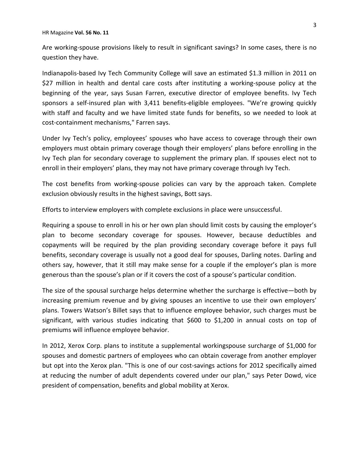HR Magazine **Vol. 56 No. 11**

Are working‐spouse provisions likely to result in significant savings? In some cases, there is no question they have.

Indianapolis‐based Ivy Tech Community College will save an estimated \$1.3 million in 2011 on \$27 million in health and dental care costs after instituting a working‐spouse policy at the beginning of the year, says Susan Farren, executive director of employee benefits. Ivy Tech sponsors a self-insured plan with 3,411 benefits-eligible employees. "We're growing quickly with staff and faculty and we have limited state funds for benefits, so we needed to look at cost‐containment mechanisms," Farren says.

Under Ivy Tech's policy, employees' spouses who have access to coverage through their own employers must obtain primary coverage though their employers' plans before enrolling in the Ivy Tech plan for secondary coverage to supplement the primary plan. If spouses elect not to enroll in their employers' plans, they may not have primary coverage through Ivy Tech.

The cost benefits from working‐spouse policies can vary by the approach taken. Complete exclusion obviously results in the highest savings, Bott says.

Efforts to interview employers with complete exclusions in place were unsuccessful.

Requiring a spouse to enroll in his or her own plan should limit costs by causing the employer's plan to become secondary coverage for spouses. However, because deductibles and copayments will be required by the plan providing secondary coverage before it pays full benefits, secondary coverage is usually not a good deal for spouses, Darling notes. Darling and others say, however, that it still may make sense for a couple if the employer's plan is more generous than the spouse's plan or if it covers the cost of a spouse's particular condition.

The size of the spousal surcharge helps determine whether the surcharge is effective—both by increasing premium revenue and by giving spouses an incentive to use their own employers' plans. Towers Watson's Billet says that to influence employee behavior, such charges must be significant, with various studies indicating that \$600 to \$1,200 in annual costs on top of premiums will influence employee behavior.

In 2012, Xerox Corp. plans to institute a supplemental workingspouse surcharge of \$1,000 for spouses and domestic partners of employees who can obtain coverage from another employer but opt into the Xerox plan. "This is one of our cost‐savings actions for 2012 specifically aimed at reducing the number of adult dependents covered under our plan," says Peter Dowd, vice president of compensation, benefits and global mobility at Xerox.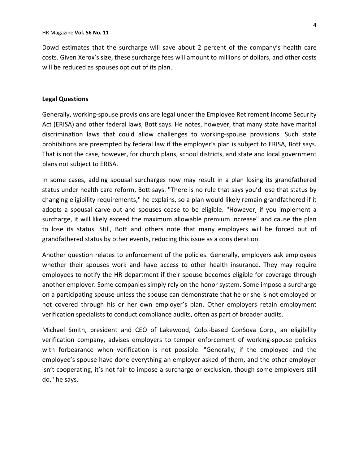Dowd estimates that the surcharge will save about 2 percent of the company's health care costs. Given Xerox's size, these surcharge fees will amount to millions of dollars, and other costs will be reduced as spouses opt out of its plan.

### **Legal Questions**

Generally, working‐spouse provisions are legal under the Employee Retirement Income Security Act (ERISA) and other federal laws, Bott says. He notes, however, that many state have marital discrimination laws that could allow challenges to working‐spouse provisions. Such state prohibitions are preempted by federal law if the employer's plan is subject to ERISA, Bott says. That is not the case, however, for church plans, school districts, and state and local government plans not subject to ERISA.

In some cases, adding spousal surcharges now may result in a plan losing its grandfathered status under health care reform, Bott says. "There is no rule that says you'd lose that status by changing eligibility requirements," he explains, so a plan would likely remain grandfathered if it adopts a spousal carve-out and spouses cease to be eligible. "However, if you implement a surcharge, it will likely exceed the maximum allowable premium increase" and cause the plan to lose its status. Still, Bott and others note that many employers will be forced out of grandfathered status by other events, reducing this issue as a consideration.

Another question relates to enforcement of the policies. Generally, employers ask employees whether their spouses work and have access to other health insurance. They may require employees to notify the HR department if their spouse becomes eligible for coverage through another employer. Some companies simply rely on the honor system. Some impose a surcharge on a participating spouse unless the spouse can demonstrate that he or she is not employed or not covered through his or her own employer's plan. Other employers retain employment verification specialists to conduct compliance audits, often as part of broader audits.

Michael Smith, president and CEO of Lakewood, Colo.‐based ConSova Corp., an eligibility verification company, advises employers to temper enforcement of working‐spouse policies with forbearance when verification is not possible. "Generally, if the employee and the employee's spouse have done everything an employer asked of them, and the other employer isn't cooperating, it's not fair to impose a surcharge or exclusion, though some employers still do," he says.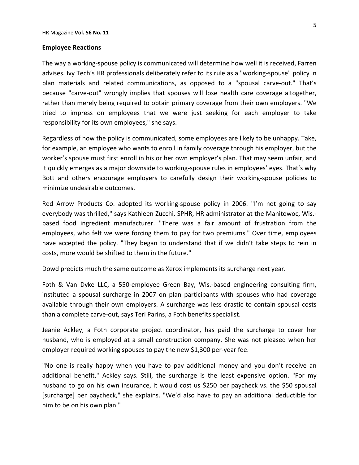### **Employee Reactions**

The way a working‐spouse policy is communicated will determine how well it is received, Farren advises. Ivy Tech's HR professionals deliberately refer to its rule as a "working‐spouse" policy in plan materials and related communications, as opposed to a "spousal carve‐out." That's because "carve-out" wrongly implies that spouses will lose health care coverage altogether, rather than merely being required to obtain primary coverage from their own employers. "We tried to impress on employees that we were just seeking for each employer to take responsibility for its own employees," she says.

Regardless of how the policy is communicated, some employees are likely to be unhappy. Take, for example, an employee who wants to enroll in family coverage through his employer, but the worker's spouse must first enroll in his or her own employer's plan. That may seem unfair, and it quickly emerges as a major downside to working‐spouse rules in employees' eyes. That's why Bott and others encourage employers to carefully design their working‐spouse policies to minimize undesirable outcomes.

Red Arrow Products Co. adopted its working-spouse policy in 2006. "I'm not going to say everybody was thrilled," says Kathleen Zucchi, SPHR, HR administrator at the Manitowoc, Wis.‐ based food ingredient manufacturer. "There was a fair amount of frustration from the employees, who felt we were forcing them to pay for two premiums." Over time, employees have accepted the policy. "They began to understand that if we didn't take steps to rein in costs, more would be shifted to them in the future."

Dowd predicts much the same outcome as Xerox implements its surcharge next year.

Foth & Van Dyke LLC, a 550‐employee Green Bay, Wis.‐based engineering consulting firm, instituted a spousal surcharge in 2007 on plan participants with spouses who had coverage available through their own employers. A surcharge was less drastic to contain spousal costs than a complete carve‐out, says Teri Parins, a Foth benefits specialist.

Jeanie Ackley, a Foth corporate project coordinator, has paid the surcharge to cover her husband, who is employed at a small construction company. She was not pleased when her employer required working spouses to pay the new \$1,300 per-year fee.

"No one is really happy when you have to pay additional money and you don't receive an additional benefit," Ackley says. Still, the surcharge is the least expensive option. "For my husband to go on his own insurance, it would cost us \$250 per paycheck vs. the \$50 spousal [surcharge] per paycheck," she explains. "We'd also have to pay an additional deductible for him to be on his own plan."